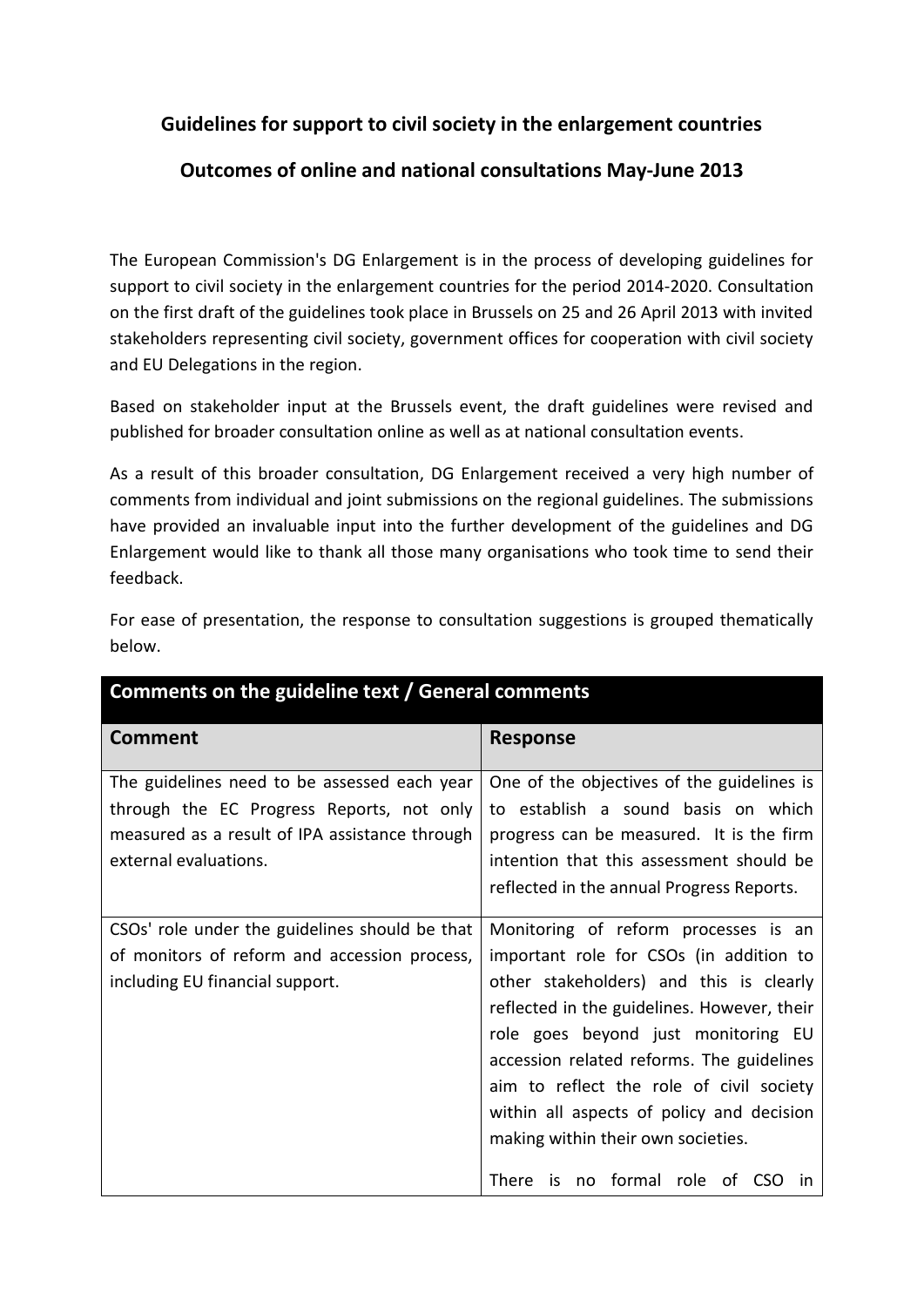## **Guidelines for support to civil society in the enlargement countries**

## **Outcomes of online and national consultations May-June 2013**

The European Commission's DG Enlargement is in the process of developing guidelines for support to civil society in the enlargement countries for the period 2014-2020. Consultation on the first draft of the guidelines took place in Brussels on 25 and 26 April 2013 with invited stakeholders representing civil society, government offices for cooperation with civil society and EU Delegations in the region.

Based on stakeholder input at the Brussels event, the draft guidelines were revised and published for broader consultation online as well as at national consultation events.

As a result of this broader consultation, DG Enlargement received a very high number of comments from individual and joint submissions on the regional guidelines. The submissions have provided an invaluable input into the further development of the guidelines and DG Enlargement would like to thank all those many organisations who took time to send their feedback.

| Comments on the guideline text / General comments                                                                                                                    |                                                                                                                                                                                                                                                                                                                                                                                                                                      |
|----------------------------------------------------------------------------------------------------------------------------------------------------------------------|--------------------------------------------------------------------------------------------------------------------------------------------------------------------------------------------------------------------------------------------------------------------------------------------------------------------------------------------------------------------------------------------------------------------------------------|
| <b>Comment</b>                                                                                                                                                       | <b>Response</b>                                                                                                                                                                                                                                                                                                                                                                                                                      |
| The guidelines need to be assessed each year<br>through the EC Progress Reports, not only<br>measured as a result of IPA assistance through<br>external evaluations. | One of the objectives of the guidelines is<br>to establish a sound basis on which<br>progress can be measured. It is the firm<br>intention that this assessment should be<br>reflected in the annual Progress Reports.                                                                                                                                                                                                               |
| CSOs' role under the guidelines should be that<br>of monitors of reform and accession process,<br>including EU financial support.                                    | Monitoring of reform processes is an<br>important role for CSOs (in addition to<br>other stakeholders) and this is clearly<br>reflected in the guidelines. However, their<br>role goes beyond just monitoring EU<br>accession related reforms. The guidelines<br>aim to reflect the role of civil society<br>within all aspects of policy and decision<br>making within their own societies.<br>There is no formal role of CSO<br>ın |

For ease of presentation, the response to consultation suggestions is grouped thematically below.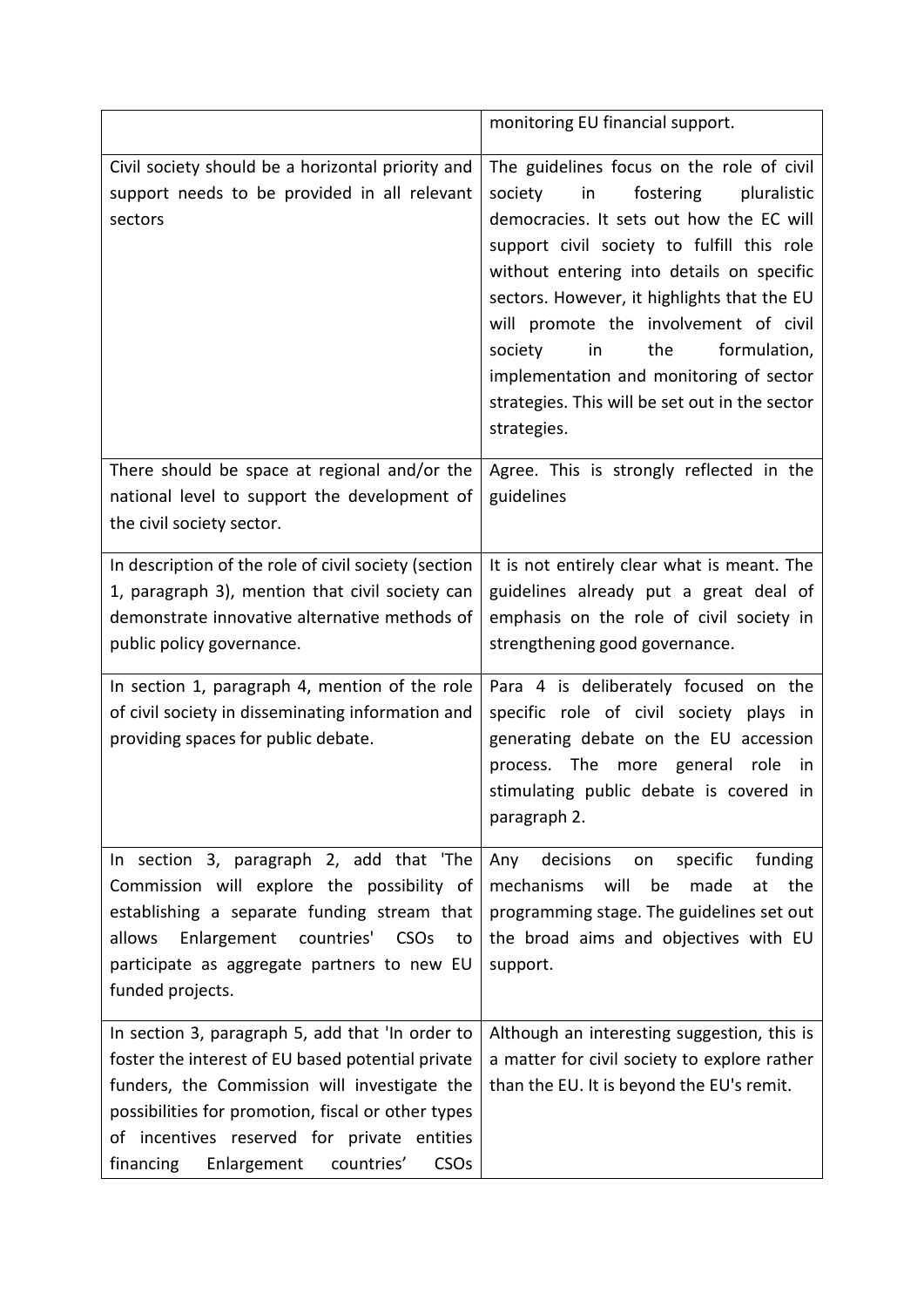|                                                                                                                                                                                                                                                                                                                          | monitoring EU financial support.                                                                                                                                                                                                                                                                                                                                                                                                                                          |
|--------------------------------------------------------------------------------------------------------------------------------------------------------------------------------------------------------------------------------------------------------------------------------------------------------------------------|---------------------------------------------------------------------------------------------------------------------------------------------------------------------------------------------------------------------------------------------------------------------------------------------------------------------------------------------------------------------------------------------------------------------------------------------------------------------------|
| Civil society should be a horizontal priority and<br>support needs to be provided in all relevant<br>sectors                                                                                                                                                                                                             | The guidelines focus on the role of civil<br>fostering<br>in<br>pluralistic<br>society<br>democracies. It sets out how the EC will<br>support civil society to fulfill this role<br>without entering into details on specific<br>sectors. However, it highlights that the EU<br>will promote the involvement of civil<br>the<br>formulation,<br>society<br>in<br>implementation and monitoring of sector<br>strategies. This will be set out in the sector<br>strategies. |
| There should be space at regional and/or the<br>national level to support the development of<br>the civil society sector.                                                                                                                                                                                                | Agree. This is strongly reflected in the<br>guidelines                                                                                                                                                                                                                                                                                                                                                                                                                    |
| In description of the role of civil society (section<br>1, paragraph 3), mention that civil society can<br>demonstrate innovative alternative methods of<br>public policy governance.                                                                                                                                    | It is not entirely clear what is meant. The<br>guidelines already put a great deal of<br>emphasis on the role of civil society in<br>strengthening good governance.                                                                                                                                                                                                                                                                                                       |
| In section 1, paragraph 4, mention of the role<br>of civil society in disseminating information and<br>providing spaces for public debate.                                                                                                                                                                               | Para 4 is deliberately focused on the<br>specific role of civil society plays in<br>generating debate on the EU accession<br>process. The more general role<br>in<br>stimulating public debate is covered in<br>paragraph 2.                                                                                                                                                                                                                                              |
| In section 3, paragraph 2, add that 'The<br>Commission will explore the possibility of<br>establishing a separate funding stream that<br>allows<br>Enlargement countries'<br>CSO <sub>S</sub><br>to<br>participate as aggregate partners to new EU<br>funded projects.                                                   | decisions<br>specific<br>funding<br>Any<br>on<br>will<br>mechanisms<br>be<br>made<br>the<br>at<br>programming stage. The guidelines set out<br>the broad aims and objectives with EU<br>support.                                                                                                                                                                                                                                                                          |
| In section 3, paragraph 5, add that 'In order to<br>foster the interest of EU based potential private<br>funders, the Commission will investigate the<br>possibilities for promotion, fiscal or other types<br>of incentives reserved for private entities<br>CSO <sub>s</sub><br>financing<br>Enlargement<br>countries' | Although an interesting suggestion, this is<br>a matter for civil society to explore rather<br>than the EU. It is beyond the EU's remit.                                                                                                                                                                                                                                                                                                                                  |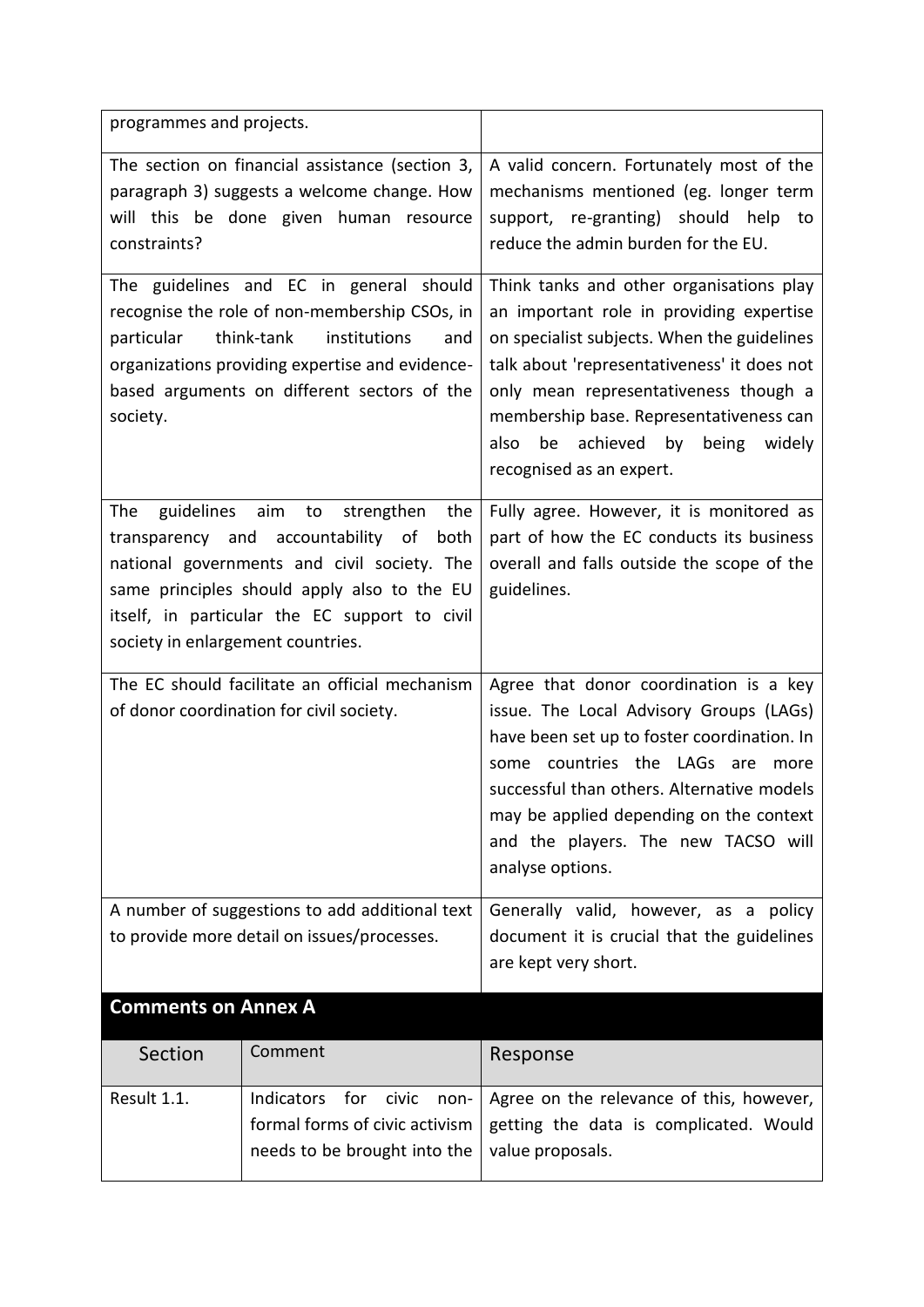| programmes and projects.                                                                                                                                                                                                                                                                 |                                                                                                      |                                                                                                                                                                                                                                                                                                                                              |
|------------------------------------------------------------------------------------------------------------------------------------------------------------------------------------------------------------------------------------------------------------------------------------------|------------------------------------------------------------------------------------------------------|----------------------------------------------------------------------------------------------------------------------------------------------------------------------------------------------------------------------------------------------------------------------------------------------------------------------------------------------|
| The section on financial assistance (section 3,<br>paragraph 3) suggests a welcome change. How<br>will this be done given human resource<br>constraints?                                                                                                                                 |                                                                                                      | A valid concern. Fortunately most of the<br>mechanisms mentioned (eg. longer term<br>support, re-granting) should help to<br>reduce the admin burden for the EU.                                                                                                                                                                             |
| The guidelines and EC in general should<br>recognise the role of non-membership CSOs, in<br>think-tank<br>institutions<br>particular<br>and<br>organizations providing expertise and evidence-<br>based arguments on different sectors of the<br>society.                                |                                                                                                      | Think tanks and other organisations play<br>an important role in providing expertise<br>on specialist subjects. When the guidelines<br>talk about 'representativeness' it does not<br>only mean representativeness though a<br>membership base. Representativeness can<br>also<br>be achieved by being<br>widely<br>recognised as an expert. |
| guidelines<br>aim<br>strengthen<br>The<br>to<br>the<br>transparency and<br>accountability of<br>both<br>national governments and civil society. The<br>same principles should apply also to the EU<br>itself, in particular the EC support to civil<br>society in enlargement countries. |                                                                                                      | Fully agree. However, it is monitored as<br>part of how the EC conducts its business<br>overall and falls outside the scope of the<br>guidelines.                                                                                                                                                                                            |
| The EC should facilitate an official mechanism<br>of donor coordination for civil society.                                                                                                                                                                                               |                                                                                                      | Agree that donor coordination is a key<br>issue. The Local Advisory Groups (LAGs)<br>have been set up to foster coordination. In<br>some countries the LAGs are<br>more<br>successful than others. Alternative models<br>may be applied depending on the context<br>and the players. The new TACSO will<br>analyse options.                  |
| A number of suggestions to add additional text<br>to provide more detail on issues/processes.                                                                                                                                                                                            |                                                                                                      | Generally valid, however, as a policy<br>document it is crucial that the guidelines<br>are kept very short.                                                                                                                                                                                                                                  |
| <b>Comments on Annex A</b>                                                                                                                                                                                                                                                               |                                                                                                      |                                                                                                                                                                                                                                                                                                                                              |
| Section                                                                                                                                                                                                                                                                                  | Comment                                                                                              | Response                                                                                                                                                                                                                                                                                                                                     |
| Result 1.1.                                                                                                                                                                                                                                                                              | Indicators<br>for<br>civic<br>non-<br>formal forms of civic activism<br>needs to be brought into the | Agree on the relevance of this, however,<br>getting the data is complicated. Would<br>value proposals.                                                                                                                                                                                                                                       |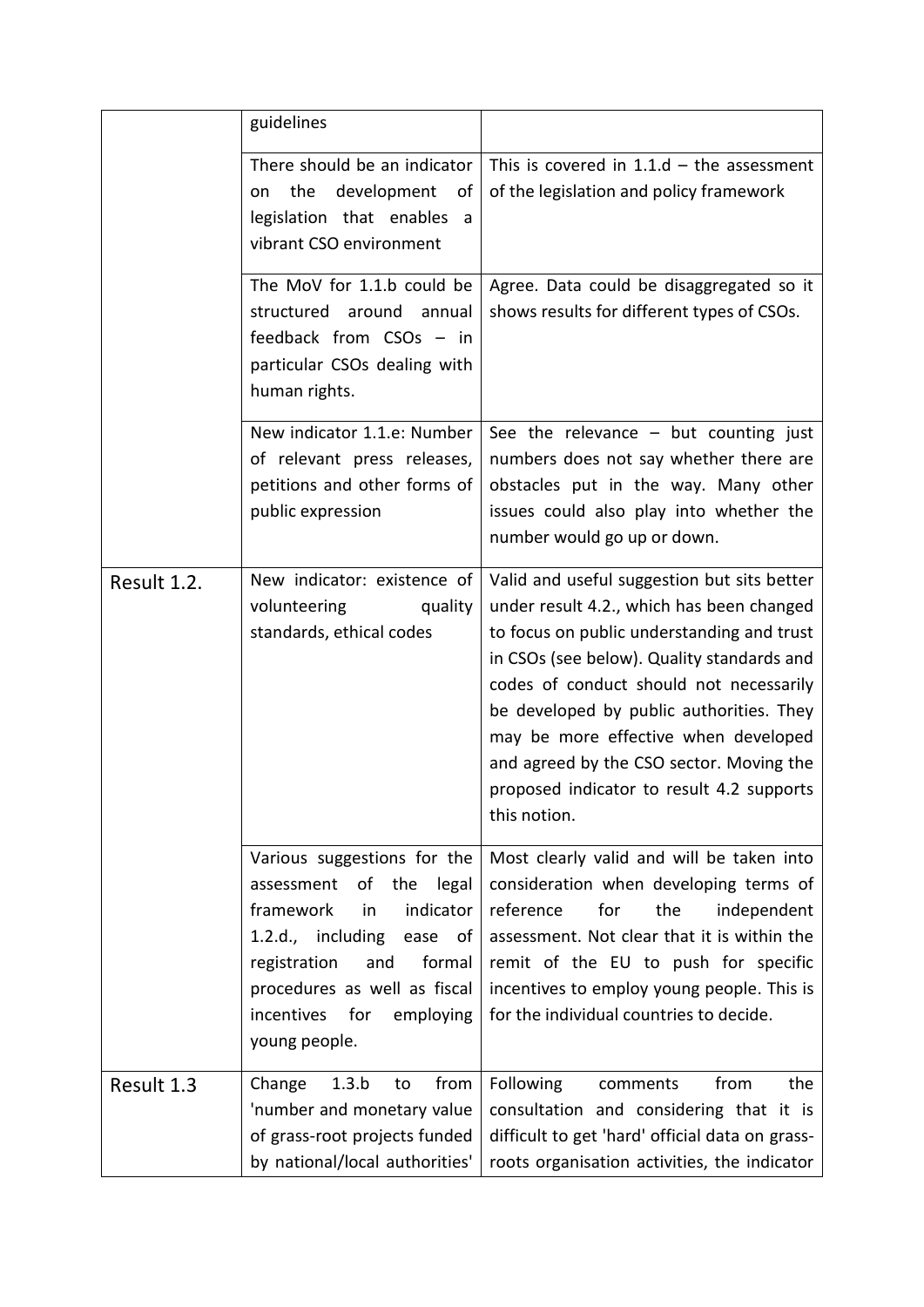|             | guidelines                                                                                                                                                                                                                                             |                                                                                                                                                                                                                                                                                                                                                                                                                              |
|-------------|--------------------------------------------------------------------------------------------------------------------------------------------------------------------------------------------------------------------------------------------------------|------------------------------------------------------------------------------------------------------------------------------------------------------------------------------------------------------------------------------------------------------------------------------------------------------------------------------------------------------------------------------------------------------------------------------|
|             | There should be an indicator<br>the<br>development<br>of<br>on<br>legislation that enables<br>a<br>vibrant CSO environment                                                                                                                             | This is covered in $1.1.d -$ the assessment<br>of the legislation and policy framework                                                                                                                                                                                                                                                                                                                                       |
|             | The MoV for 1.1.b could be<br>structured around<br>annual<br>feedback from CSOs - in<br>particular CSOs dealing with<br>human rights.                                                                                                                  | Agree. Data could be disaggregated so it<br>shows results for different types of CSOs.                                                                                                                                                                                                                                                                                                                                       |
|             | New indicator 1.1.e: Number<br>of relevant press releases,<br>petitions and other forms of<br>public expression                                                                                                                                        | See the relevance $-$ but counting just<br>numbers does not say whether there are<br>obstacles put in the way. Many other<br>issues could also play into whether the<br>number would go up or down.                                                                                                                                                                                                                          |
| Result 1.2. | New indicator: existence of<br>volunteering<br>quality<br>standards, ethical codes                                                                                                                                                                     | Valid and useful suggestion but sits better<br>under result 4.2., which has been changed<br>to focus on public understanding and trust<br>in CSOs (see below). Quality standards and<br>codes of conduct should not necessarily<br>be developed by public authorities. They<br>may be more effective when developed<br>and agreed by the CSO sector. Moving the<br>proposed indicator to result 4.2 supports<br>this notion. |
|             | Various suggestions for the<br>assessment<br>of<br>the<br>legal<br>indicator<br>framework<br>in<br>1.2.d., including<br>ease<br>of<br>formal<br>registration<br>and<br>procedures as well as fiscal<br>incentives<br>for<br>employing<br>young people. | Most clearly valid and will be taken into<br>consideration when developing terms of<br>reference<br>for<br>the<br>independent<br>assessment. Not clear that it is within the<br>remit of the EU to push for specific<br>incentives to employ young people. This is<br>for the individual countries to decide.                                                                                                                |
| Result 1.3  | 1.3.b<br>from<br>Change<br>to<br>'number and monetary value<br>of grass-root projects funded<br>by national/local authorities'                                                                                                                         | Following<br>from<br>the<br>comments<br>consultation and considering that it is<br>difficult to get 'hard' official data on grass-<br>roots organisation activities, the indicator                                                                                                                                                                                                                                           |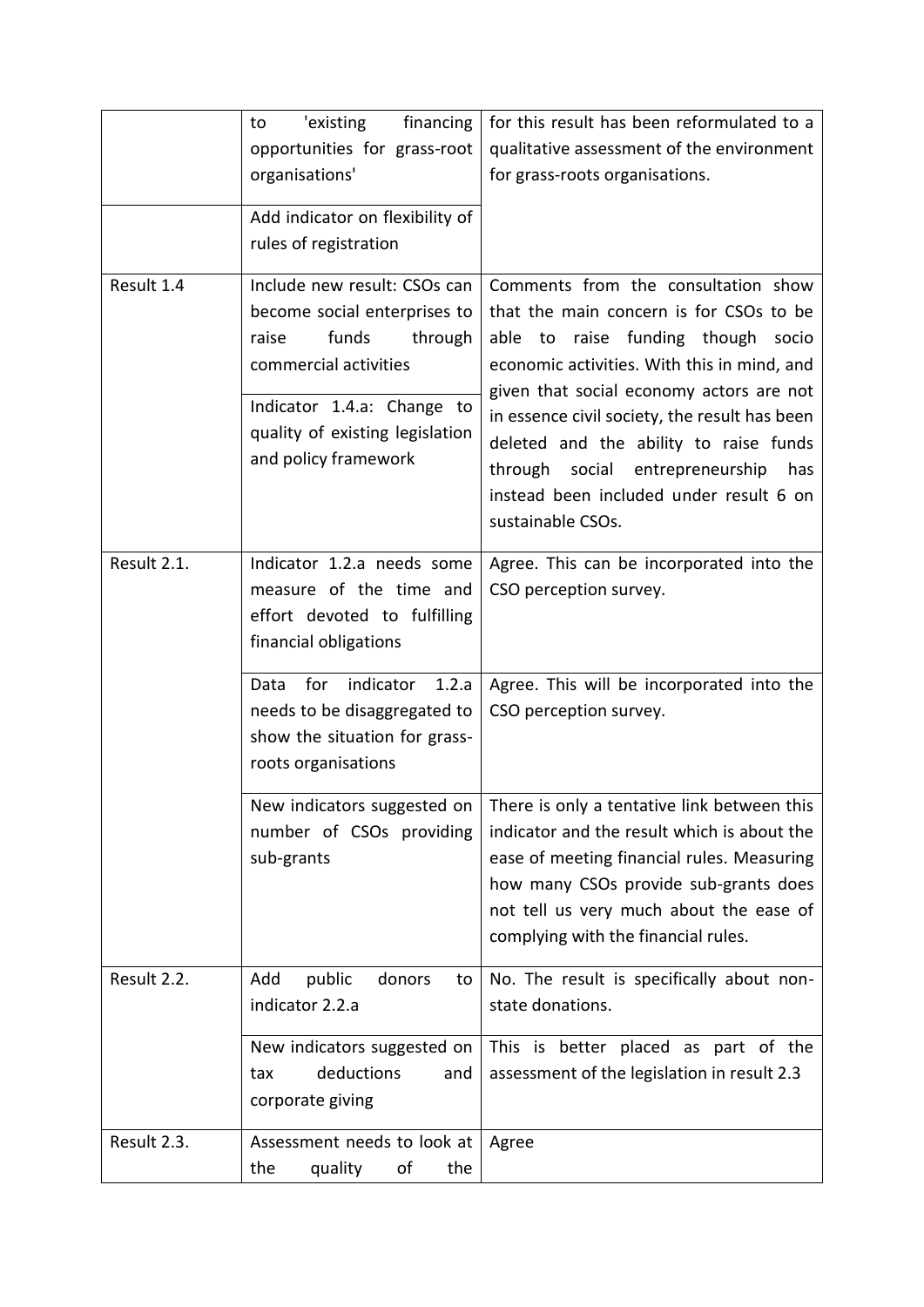|             | 'existing<br>financing<br>to                                                                                                                                                                                | for this result has been reformulated to a                                                                                                                                                                                                                                                                                                                                                                           |
|-------------|-------------------------------------------------------------------------------------------------------------------------------------------------------------------------------------------------------------|----------------------------------------------------------------------------------------------------------------------------------------------------------------------------------------------------------------------------------------------------------------------------------------------------------------------------------------------------------------------------------------------------------------------|
|             | opportunities for grass-root                                                                                                                                                                                | qualitative assessment of the environment                                                                                                                                                                                                                                                                                                                                                                            |
|             | organisations'                                                                                                                                                                                              | for grass-roots organisations.                                                                                                                                                                                                                                                                                                                                                                                       |
|             | Add indicator on flexibility of                                                                                                                                                                             |                                                                                                                                                                                                                                                                                                                                                                                                                      |
|             | rules of registration                                                                                                                                                                                       |                                                                                                                                                                                                                                                                                                                                                                                                                      |
| Result 1.4  | Include new result: CSOs can<br>become social enterprises to<br>funds<br>raise<br>through<br>commercial activities<br>Indicator 1.4.a: Change to<br>quality of existing legislation<br>and policy framework | Comments from the consultation show<br>that the main concern is for CSOs to be<br>able to raise funding though socio<br>economic activities. With this in mind, and<br>given that social economy actors are not<br>in essence civil society, the result has been<br>deleted and the ability to raise funds<br>through social entrepreneurship<br>has<br>instead been included under result 6 on<br>sustainable CSOs. |
| Result 2.1. | Indicator 1.2.a needs some<br>measure of the time and<br>effort devoted to fulfilling<br>financial obligations                                                                                              | Agree. This can be incorporated into the<br>CSO perception survey.                                                                                                                                                                                                                                                                                                                                                   |
|             | for<br>indicator<br>1.2.a<br>Data<br>needs to be disaggregated to<br>show the situation for grass-<br>roots organisations                                                                                   | Agree. This will be incorporated into the<br>CSO perception survey.                                                                                                                                                                                                                                                                                                                                                  |
|             | number of CSOs providing<br>sub-grants                                                                                                                                                                      | New indicators suggested on $ $ There is only a tentative link between this<br>indicator and the result which is about the<br>ease of meeting financial rules. Measuring<br>how many CSOs provide sub-grants does<br>not tell us very much about the ease of<br>complying with the financial rules.                                                                                                                  |
| Result 2.2. | Add<br>public<br>donors<br>to<br>indicator 2.2.a                                                                                                                                                            | No. The result is specifically about non-<br>state donations.                                                                                                                                                                                                                                                                                                                                                        |
|             | New indicators suggested on<br>deductions<br>and<br>tax<br>corporate giving                                                                                                                                 | This is better placed as part of the<br>assessment of the legislation in result 2.3                                                                                                                                                                                                                                                                                                                                  |
| Result 2.3. | Assessment needs to look at<br>quality<br>οf<br>the<br>the                                                                                                                                                  | Agree                                                                                                                                                                                                                                                                                                                                                                                                                |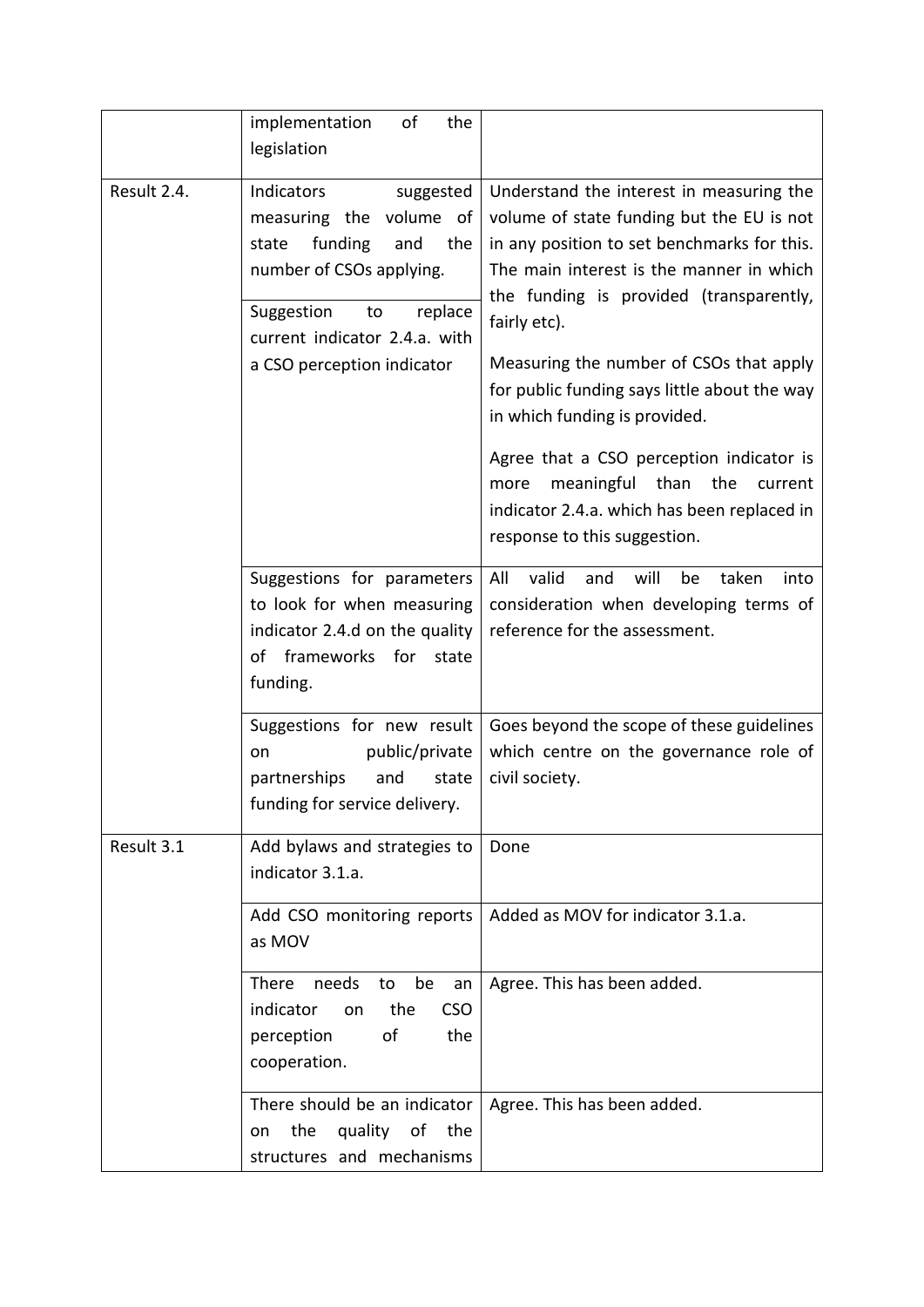|             | of<br>implementation<br>the<br>legislation                                                                                                                                                                     |                                                                                                                                                                                                                                                                                                                                                                                                                                                                     |
|-------------|----------------------------------------------------------------------------------------------------------------------------------------------------------------------------------------------------------------|---------------------------------------------------------------------------------------------------------------------------------------------------------------------------------------------------------------------------------------------------------------------------------------------------------------------------------------------------------------------------------------------------------------------------------------------------------------------|
| Result 2.4. | Indicators<br>suggested<br>measuring the volume of<br>funding<br>state<br>and<br>the<br>number of CSOs applying.<br>Suggestion<br>to<br>replace<br>current indicator 2.4.a. with<br>a CSO perception indicator | Understand the interest in measuring the<br>volume of state funding but the EU is not<br>in any position to set benchmarks for this.<br>The main interest is the manner in which<br>the funding is provided (transparently,<br>fairly etc).<br>Measuring the number of CSOs that apply<br>for public funding says little about the way<br>in which funding is provided.<br>Agree that a CSO perception indicator is<br>meaningful<br>than<br>the<br>more<br>current |
|             | Suggestions for parameters<br>to look for when measuring<br>indicator 2.4.d on the quality<br>of frameworks for<br>state<br>funding.                                                                           | indicator 2.4.a. which has been replaced in<br>response to this suggestion.<br>valid<br>All<br>and<br>will<br>taken<br>be<br>into<br>consideration when developing terms of<br>reference for the assessment.                                                                                                                                                                                                                                                        |
|             | Suggestions for new result<br>public/private<br>on<br>and<br>partnerships<br>state<br>funding for service delivery.                                                                                            | Goes beyond the scope of these guidelines<br>which centre on the governance role of<br>civil society.                                                                                                                                                                                                                                                                                                                                                               |
| Result 3.1  | Add bylaws and strategies to<br>indicator 3.1.a.                                                                                                                                                               | Done                                                                                                                                                                                                                                                                                                                                                                                                                                                                |
|             | Add CSO monitoring reports<br>as MOV                                                                                                                                                                           | Added as MOV for indicator 3.1.a.                                                                                                                                                                                                                                                                                                                                                                                                                                   |
|             | There<br>needs<br>be<br>to<br>an<br>indicator<br>the<br><b>CSO</b><br>on<br>of<br>perception<br>the<br>cooperation.                                                                                            | Agree. This has been added.                                                                                                                                                                                                                                                                                                                                                                                                                                         |
|             | There should be an indicator<br>the<br>quality of the<br>on<br>structures and mechanisms                                                                                                                       | Agree. This has been added.                                                                                                                                                                                                                                                                                                                                                                                                                                         |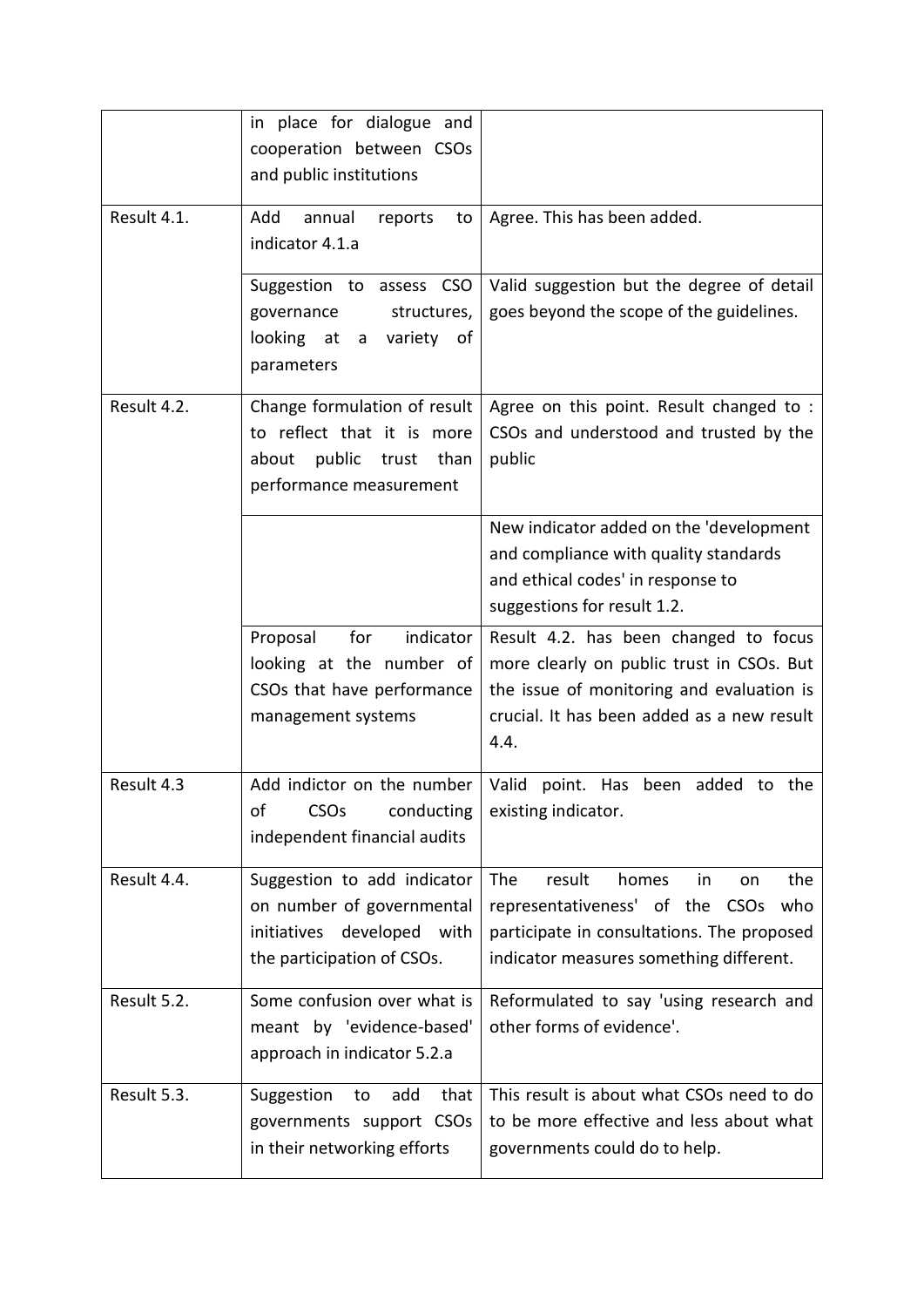|             | in place for dialogue and<br>cooperation between CSOs<br>and public institutions                                        |                                                                                                                                                                                       |
|-------------|-------------------------------------------------------------------------------------------------------------------------|---------------------------------------------------------------------------------------------------------------------------------------------------------------------------------------|
| Result 4.1. | Add<br>annual<br>reports<br>to<br>indicator 4.1.a                                                                       | Agree. This has been added.                                                                                                                                                           |
|             | Suggestion to assess CSO<br>structures,<br>governance<br>looking at<br>variety of<br>a<br>parameters                    | Valid suggestion but the degree of detail<br>goes beyond the scope of the guidelines.                                                                                                 |
| Result 4.2. | Change formulation of result<br>to reflect that it is more<br>public trust than<br>about<br>performance measurement     | Agree on this point. Result changed to :<br>CSOs and understood and trusted by the<br>public                                                                                          |
|             |                                                                                                                         | New indicator added on the 'development<br>and compliance with quality standards<br>and ethical codes' in response to<br>suggestions for result 1.2.                                  |
|             | for<br>Proposal<br>indicator<br>looking at the number of<br>CSOs that have performance<br>management systems            | Result 4.2. has been changed to focus<br>more clearly on public trust in CSOs. But<br>the issue of monitoring and evaluation is<br>crucial. It has been added as a new result<br>4.4. |
| Result 4.3  | of<br>CSOs<br>conducting<br>independent financial audits                                                                | Add indictor on the number   Valid point. Has been added to the<br>existing indicator.                                                                                                |
| Result 4.4. | Suggestion to add indicator<br>on number of governmental<br>initiatives developed<br>with<br>the participation of CSOs. | The<br>result<br>the<br>homes<br>in<br>on<br>representativeness' of the CSOs<br>who<br>participate in consultations. The proposed<br>indicator measures something different.          |
| Result 5.2. | Some confusion over what is<br>meant by 'evidence-based'<br>approach in indicator 5.2.a                                 | Reformulated to say 'using research and<br>other forms of evidence'.                                                                                                                  |
| Result 5.3. | Suggestion<br>that<br>add<br>to<br>governments support CSOs<br>in their networking efforts                              | This result is about what CSOs need to do<br>to be more effective and less about what<br>governments could do to help.                                                                |